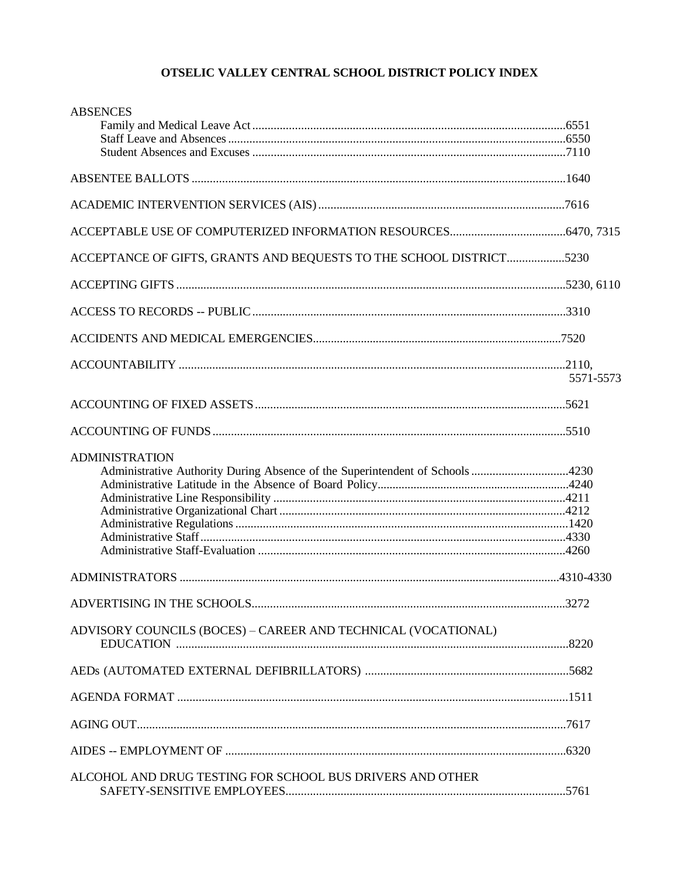| <b>ABSENCES</b>                                                                                       |           |
|-------------------------------------------------------------------------------------------------------|-----------|
|                                                                                                       |           |
|                                                                                                       |           |
|                                                                                                       |           |
|                                                                                                       |           |
| ACCEPTANCE OF GIFTS, GRANTS AND BEQUESTS TO THE SCHOOL DISTRICT5230                                   |           |
|                                                                                                       |           |
|                                                                                                       |           |
|                                                                                                       |           |
|                                                                                                       | 5571-5573 |
|                                                                                                       |           |
|                                                                                                       |           |
| <b>ADMINISTRATION</b><br>Administrative Authority During Absence of the Superintendent of Schools4230 |           |
|                                                                                                       |           |
|                                                                                                       |           |
| ADVISORY COUNCILS (BOCES) - CAREER AND TECHNICAL (VOCATIONAL)                                         |           |
|                                                                                                       |           |
|                                                                                                       |           |
|                                                                                                       |           |
|                                                                                                       |           |
| ALCOHOL AND DRUG TESTING FOR SCHOOL BUS DRIVERS AND OTHER                                             |           |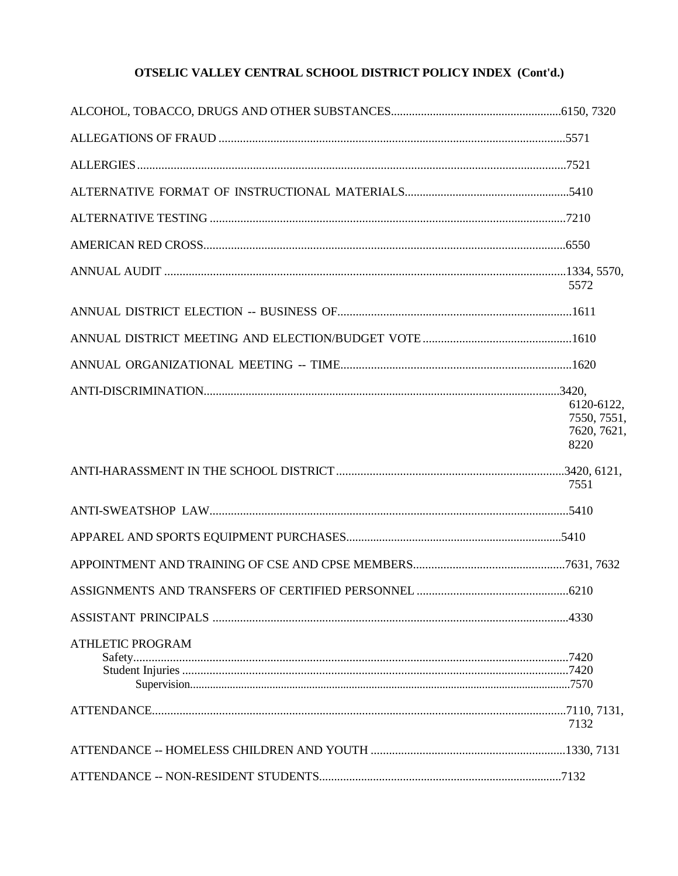|                         | 5572                                             |
|-------------------------|--------------------------------------------------|
|                         |                                                  |
|                         |                                                  |
|                         |                                                  |
|                         | 6120-6122,<br>7550, 7551,<br>7620, 7621,<br>8220 |
|                         | 7551                                             |
|                         |                                                  |
|                         |                                                  |
|                         |                                                  |
|                         |                                                  |
|                         |                                                  |
| <b>ATHLETIC PROGRAM</b> |                                                  |
|                         | 7132                                             |
|                         |                                                  |
|                         |                                                  |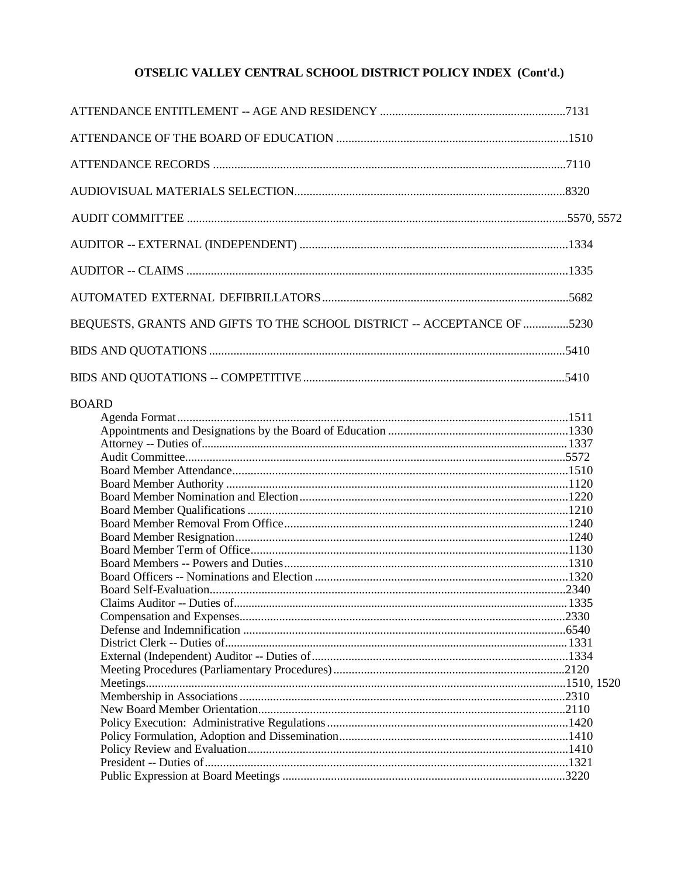| BEQUESTS, GRANTS AND GIFTS TO THE SCHOOL DISTRICT -- ACCEPTANCE OF 5230 |  |
|-------------------------------------------------------------------------|--|
|                                                                         |  |
|                                                                         |  |
|                                                                         |  |
|                                                                         |  |
|                                                                         |  |
|                                                                         |  |
|                                                                         |  |
|                                                                         |  |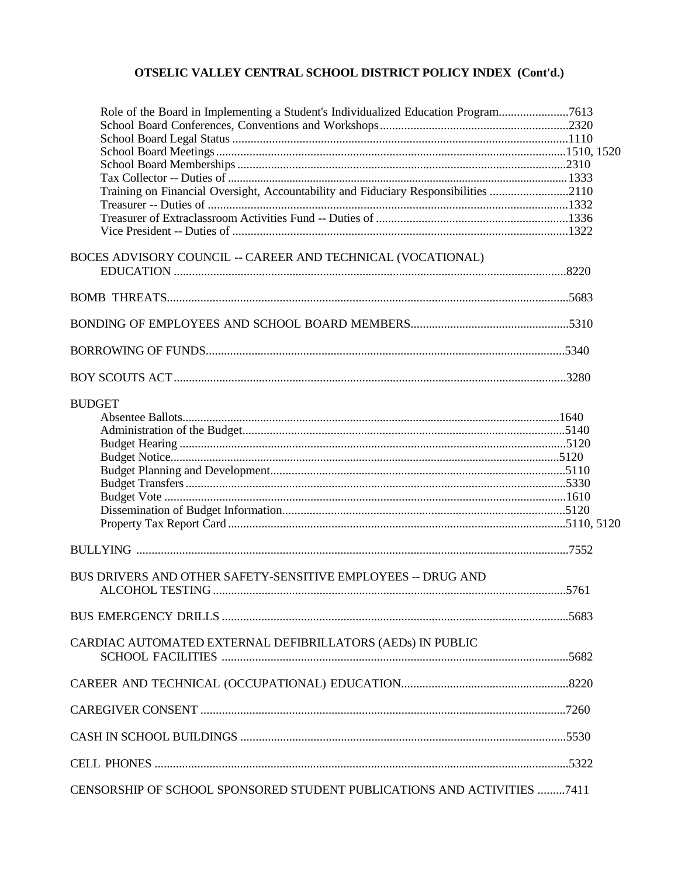| Role of the Board in Implementing a Student's Individualized Education Program7613  |  |
|-------------------------------------------------------------------------------------|--|
|                                                                                     |  |
|                                                                                     |  |
|                                                                                     |  |
|                                                                                     |  |
|                                                                                     |  |
| Training on Financial Oversight, Accountability and Fiduciary Responsibilities 2110 |  |
|                                                                                     |  |
|                                                                                     |  |
|                                                                                     |  |
| BOCES ADVISORY COUNCIL -- CAREER AND TECHNICAL (VOCATIONAL)                         |  |
|                                                                                     |  |
|                                                                                     |  |
|                                                                                     |  |
|                                                                                     |  |
|                                                                                     |  |
| <b>BUDGET</b>                                                                       |  |
|                                                                                     |  |
|                                                                                     |  |
|                                                                                     |  |
|                                                                                     |  |
|                                                                                     |  |
|                                                                                     |  |
|                                                                                     |  |
|                                                                                     |  |
|                                                                                     |  |
|                                                                                     |  |
| BUS DRIVERS AND OTHER SAFETY-SENSITIVE EMPLOYEES -- DRUG AND                        |  |
|                                                                                     |  |
|                                                                                     |  |
| CARDIAC AUTOMATED EXTERNAL DEFIBRILLATORS (AEDs) IN PUBLIC                          |  |
|                                                                                     |  |
|                                                                                     |  |
|                                                                                     |  |
|                                                                                     |  |
|                                                                                     |  |
| CENSORSHIP OF SCHOOL SPONSORED STUDENT PUBLICATIONS AND ACTIVITIES 7411             |  |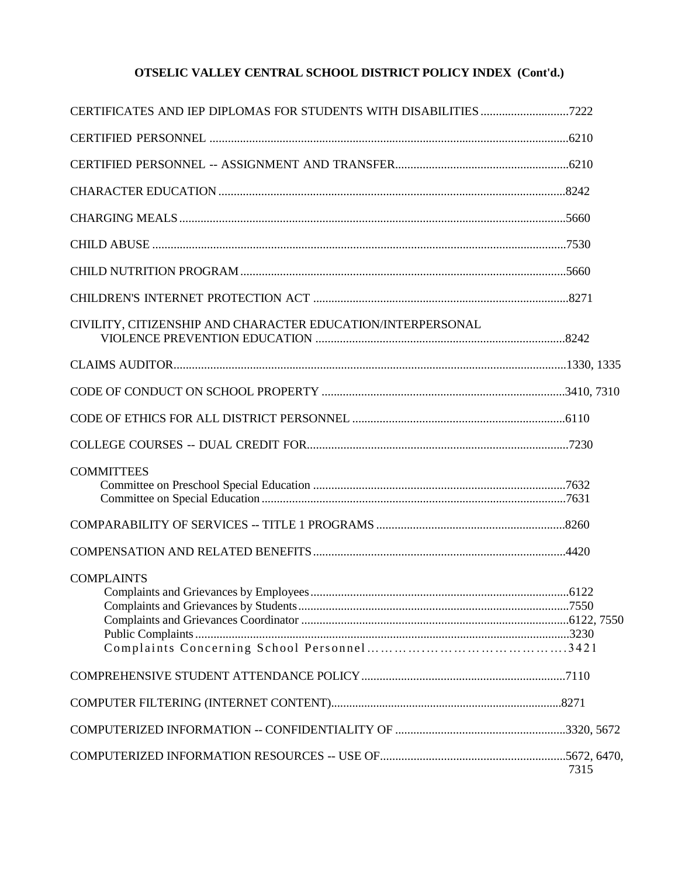| CIVILITY, CITIZENSHIP AND CHARACTER EDUCATION/INTERPERSONAL |      |
|-------------------------------------------------------------|------|
|                                                             |      |
|                                                             |      |
|                                                             |      |
|                                                             |      |
| <b>COMMITTEES</b>                                           |      |
|                                                             |      |
|                                                             |      |
| <b>COMPLAINTS</b>                                           |      |
|                                                             |      |
|                                                             |      |
|                                                             |      |
|                                                             | 7315 |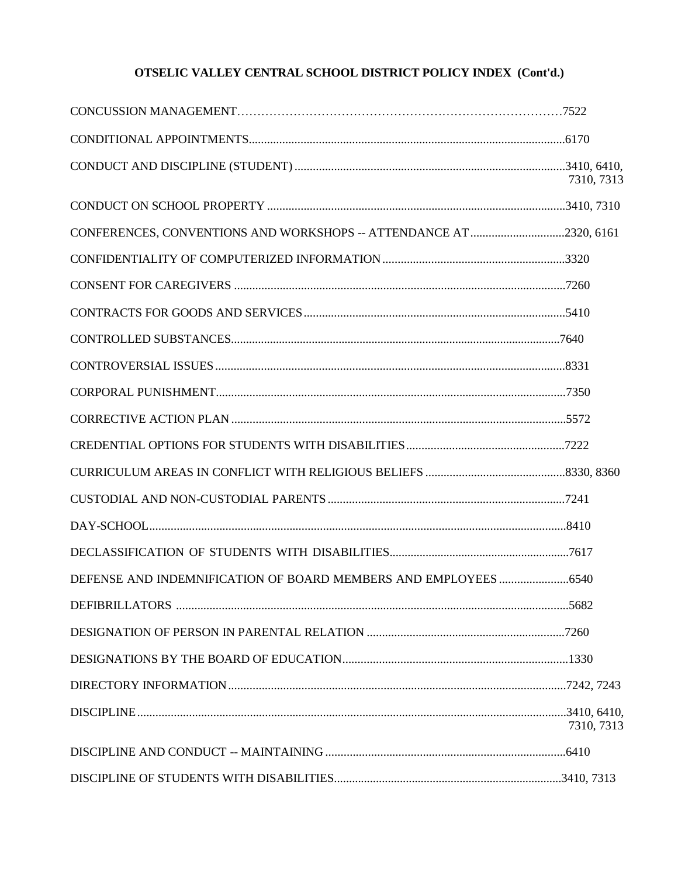|                                                                   | 7310, 7313 |
|-------------------------------------------------------------------|------------|
|                                                                   |            |
| CONFERENCES, CONVENTIONS AND WORKSHOPS -- ATTENDANCE AT2320, 6161 |            |
|                                                                   |            |
|                                                                   |            |
|                                                                   |            |
|                                                                   |            |
|                                                                   |            |
|                                                                   |            |
|                                                                   |            |
|                                                                   |            |
|                                                                   |            |
|                                                                   |            |
|                                                                   |            |
|                                                                   |            |
|                                                                   |            |
|                                                                   |            |
|                                                                   |            |
|                                                                   |            |
|                                                                   |            |
|                                                                   | 7310, 7313 |
|                                                                   |            |
|                                                                   |            |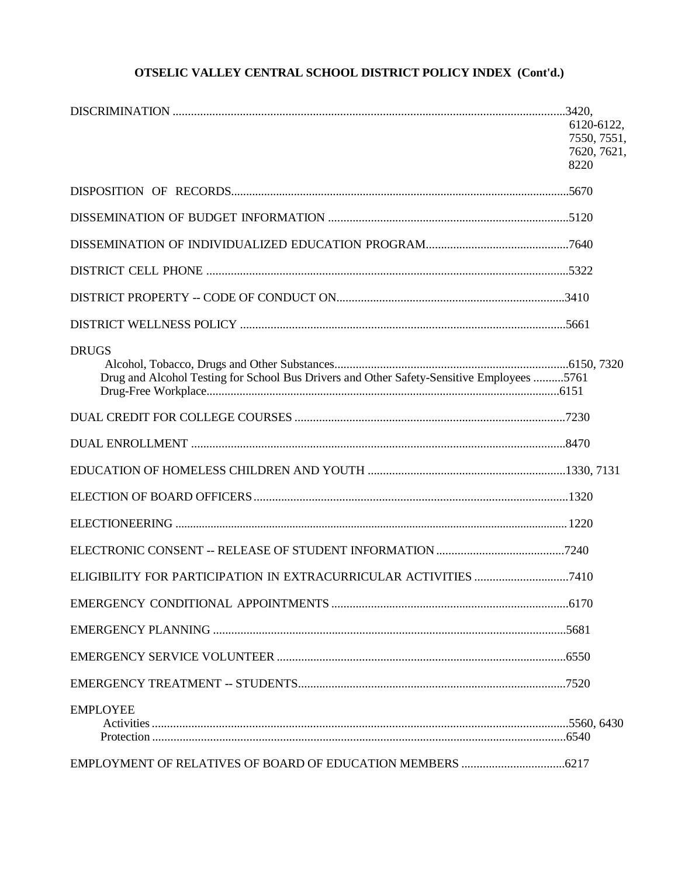|                                                                                           | 6120-6122,  |
|-------------------------------------------------------------------------------------------|-------------|
|                                                                                           | 7550, 7551, |
|                                                                                           | 7620, 7621, |
|                                                                                           | 8220        |
|                                                                                           |             |
|                                                                                           |             |
|                                                                                           |             |
|                                                                                           |             |
|                                                                                           |             |
|                                                                                           |             |
| <b>DRUGS</b>                                                                              |             |
|                                                                                           |             |
| Drug and Alcohol Testing for School Bus Drivers and Other Safety-Sensitive Employees 5761 |             |
|                                                                                           |             |
|                                                                                           |             |
|                                                                                           |             |
|                                                                                           |             |
|                                                                                           |             |
|                                                                                           |             |
|                                                                                           |             |
|                                                                                           |             |
|                                                                                           |             |
|                                                                                           |             |
|                                                                                           |             |
|                                                                                           |             |
| <b>EMPLOYEE</b>                                                                           |             |
|                                                                                           |             |
|                                                                                           |             |
|                                                                                           |             |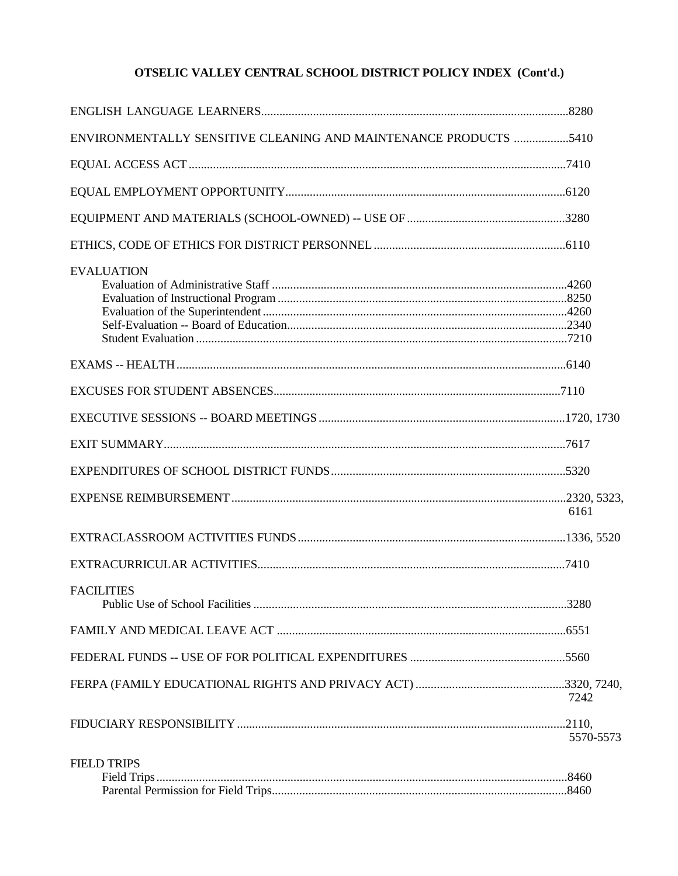| ENVIRONMENTALLY SENSITIVE CLEANING AND MAINTENANCE PRODUCTS 5410 |           |
|------------------------------------------------------------------|-----------|
|                                                                  |           |
|                                                                  |           |
|                                                                  |           |
|                                                                  |           |
| <b>EVALUATION</b>                                                |           |
|                                                                  |           |
|                                                                  |           |
|                                                                  |           |
|                                                                  |           |
|                                                                  |           |
|                                                                  | 6161      |
|                                                                  |           |
|                                                                  |           |
| <b>FACILITIES</b>                                                |           |
|                                                                  |           |
|                                                                  |           |
|                                                                  | 7242      |
|                                                                  | 5570-5573 |
| <b>FIELD TRIPS</b>                                               |           |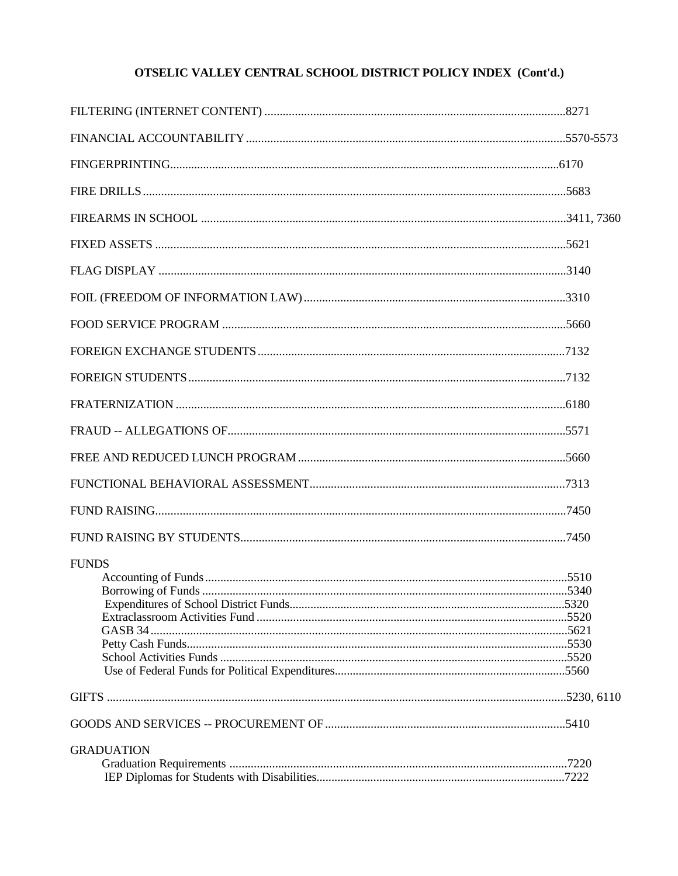| <b>FUNDS</b>      |  |
|-------------------|--|
|                   |  |
|                   |  |
| <b>GRADUATION</b> |  |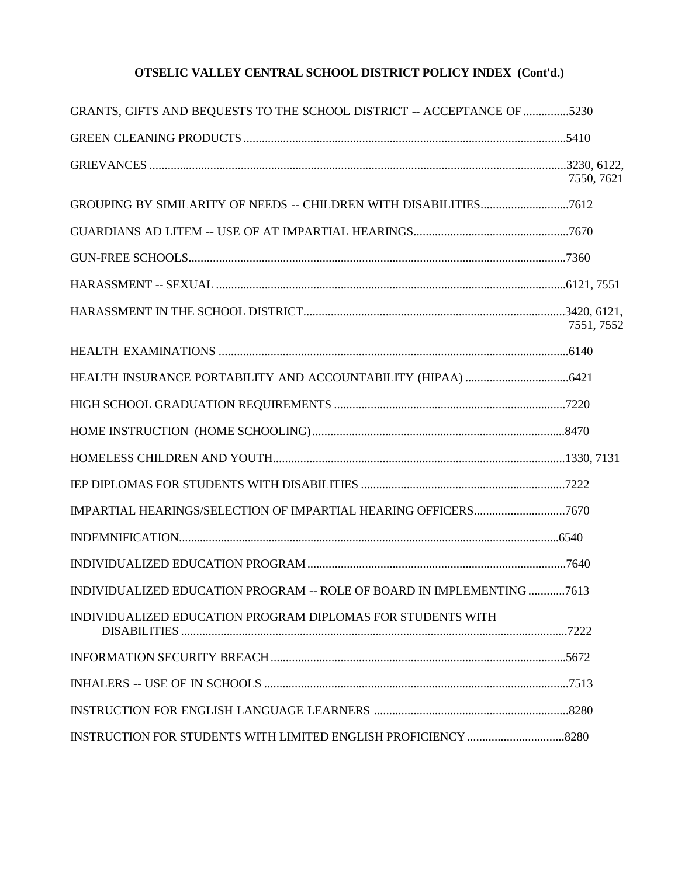| GRANTS, GIFTS AND BEQUESTS TO THE SCHOOL DISTRICT -- ACCEPTANCE OF 5230 |            |
|-------------------------------------------------------------------------|------------|
|                                                                         |            |
|                                                                         | 7550, 7621 |
|                                                                         |            |
|                                                                         |            |
|                                                                         |            |
|                                                                         |            |
|                                                                         | 7551, 7552 |
|                                                                         |            |
|                                                                         |            |
|                                                                         |            |
|                                                                         |            |
|                                                                         |            |
|                                                                         |            |
|                                                                         |            |
|                                                                         |            |
|                                                                         |            |
| INDIVIDUALIZED EDUCATION PROGRAM -- ROLE OF BOARD IN IMPLEMENTING 7613  |            |
| INDIVIDUALIZED EDUCATION PROGRAM DIPLOMAS FOR STUDENTS WITH             |            |
|                                                                         |            |
|                                                                         |            |
|                                                                         |            |
|                                                                         |            |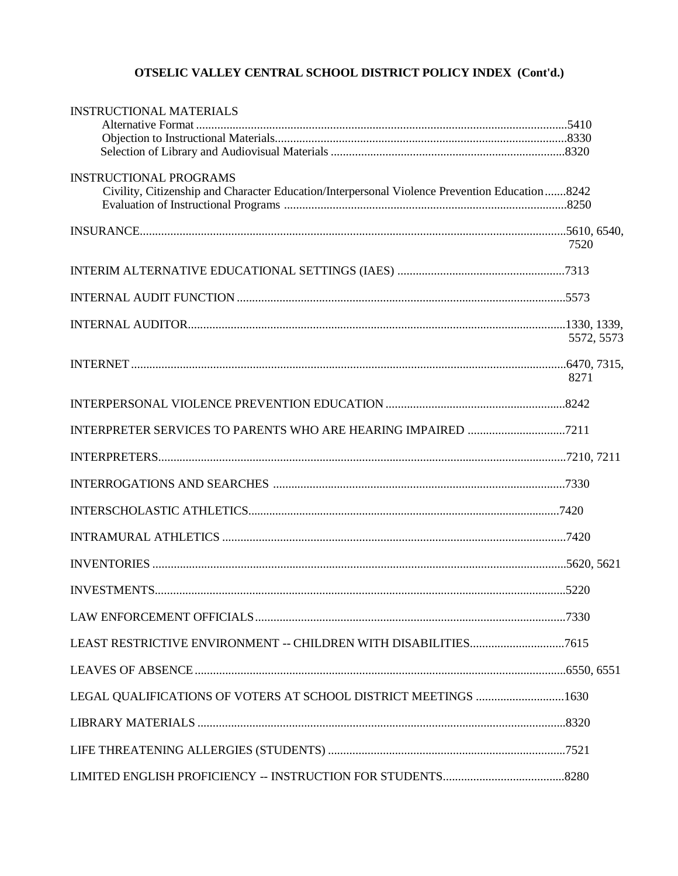| <b>INSTRUCTIONAL MATERIALS</b>                                                                                                 |            |
|--------------------------------------------------------------------------------------------------------------------------------|------------|
| <b>INSTRUCTIONAL PROGRAMS</b><br>Civility, Citizenship and Character Education/Interpersonal Violence Prevention Education8242 |            |
|                                                                                                                                |            |
|                                                                                                                                | 7520       |
|                                                                                                                                |            |
|                                                                                                                                |            |
|                                                                                                                                | 5572, 5573 |
|                                                                                                                                | 8271       |
|                                                                                                                                |            |
|                                                                                                                                |            |
|                                                                                                                                |            |
|                                                                                                                                |            |
|                                                                                                                                |            |
|                                                                                                                                |            |
|                                                                                                                                |            |
|                                                                                                                                |            |
|                                                                                                                                |            |
|                                                                                                                                |            |
|                                                                                                                                |            |
| LEGAL QUALIFICATIONS OF VOTERS AT SCHOOL DISTRICT MEETINGS 1630                                                                |            |
|                                                                                                                                |            |
|                                                                                                                                |            |
|                                                                                                                                |            |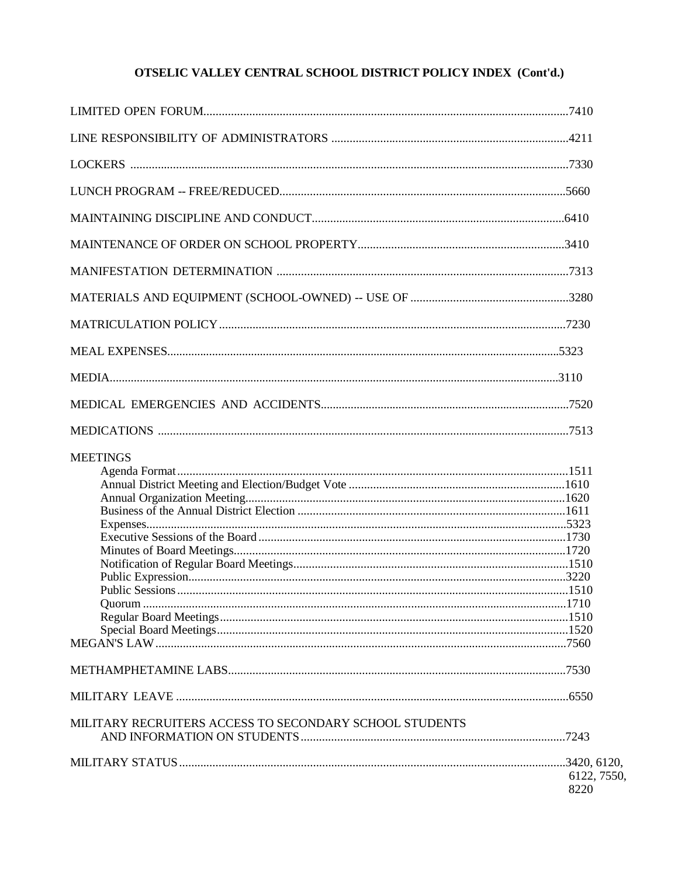| <b>MEETINGS</b>                                         |             |
|---------------------------------------------------------|-------------|
|                                                         |             |
|                                                         |             |
|                                                         |             |
|                                                         |             |
|                                                         |             |
|                                                         |             |
|                                                         |             |
|                                                         |             |
|                                                         |             |
|                                                         |             |
|                                                         |             |
|                                                         |             |
|                                                         |             |
|                                                         |             |
|                                                         |             |
| MILITARY RECRUITERS ACCESS TO SECONDARY SCHOOL STUDENTS |             |
|                                                         |             |
|                                                         |             |
|                                                         | 6122, 7550, |
|                                                         | 8220        |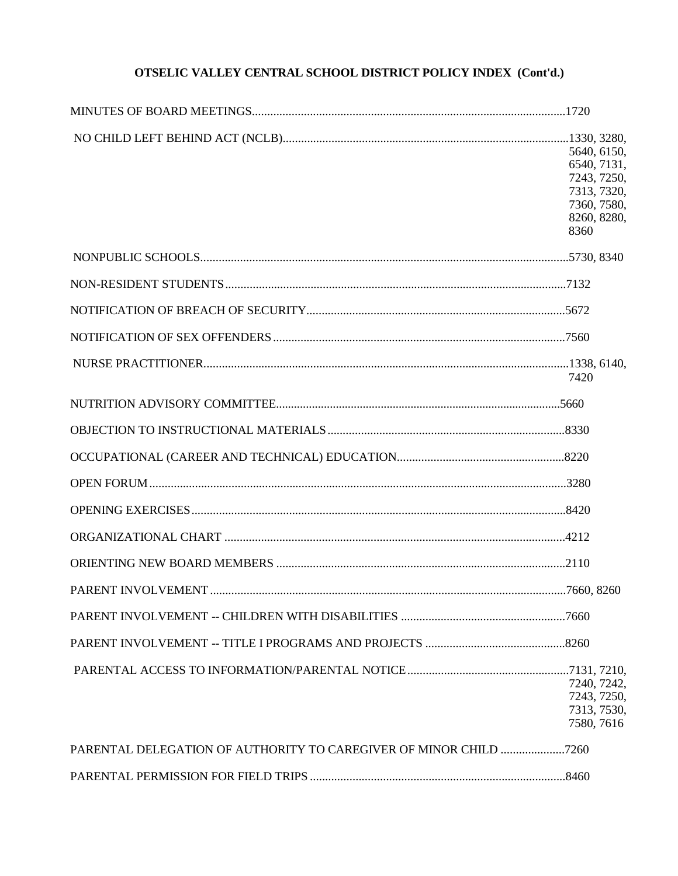| 5640, 6150, |
|-------------|
| 6540, 7131, |
| 7243, 7250, |
| 7313, 7320, |
| 7360, 7580, |
| 8260, 8280, |
| 8360        |
|             |
|             |
|             |
|             |
|             |
| 7420        |
|             |
|             |
|             |
|             |
|             |
|             |
|             |
|             |
|             |
|             |
|             |
|             |
| 7240, 7242, |
| 7243, 7250, |
| 7313, 7530, |
| 7580, 7616  |
|             |
|             |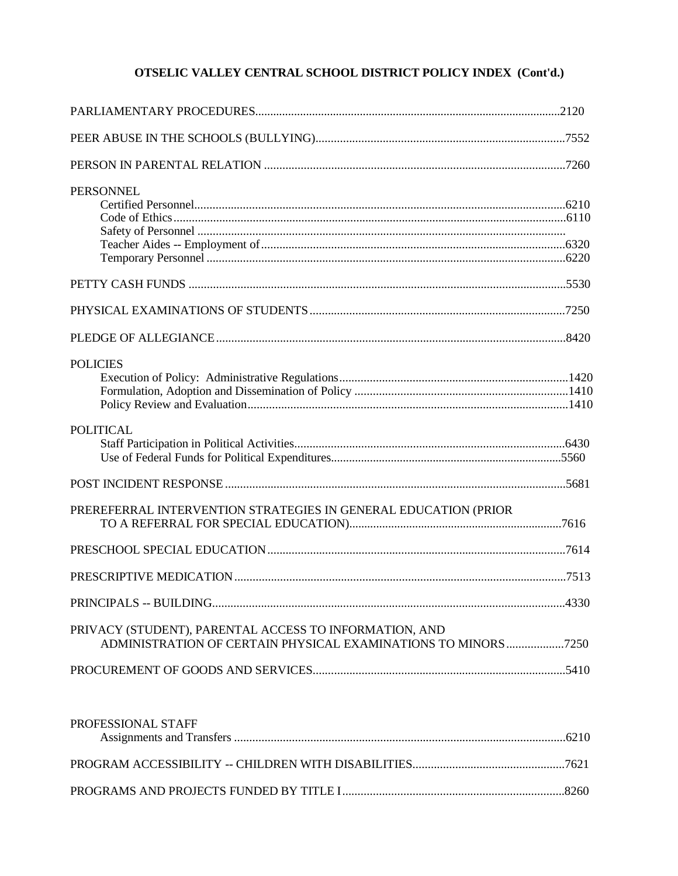| <b>PERSONNEL</b>                                                                                                         |  |
|--------------------------------------------------------------------------------------------------------------------------|--|
|                                                                                                                          |  |
|                                                                                                                          |  |
|                                                                                                                          |  |
| <b>POLICIES</b>                                                                                                          |  |
| <b>POLITICAL</b>                                                                                                         |  |
|                                                                                                                          |  |
| PREREFERRAL INTERVENTION STRATEGIES IN GENERAL EDUCATION (PRIOR                                                          |  |
|                                                                                                                          |  |
|                                                                                                                          |  |
|                                                                                                                          |  |
| PRIVACY (STUDENT), PARENTAL ACCESS TO INFORMATION, AND<br>ADMINISTRATION OF CERTAIN PHYSICAL EXAMINATIONS TO MINORS 7250 |  |
|                                                                                                                          |  |

| PROFESSIONAL STAFF |  |
|--------------------|--|
|                    |  |
|                    |  |
|                    |  |
|                    |  |
|                    |  |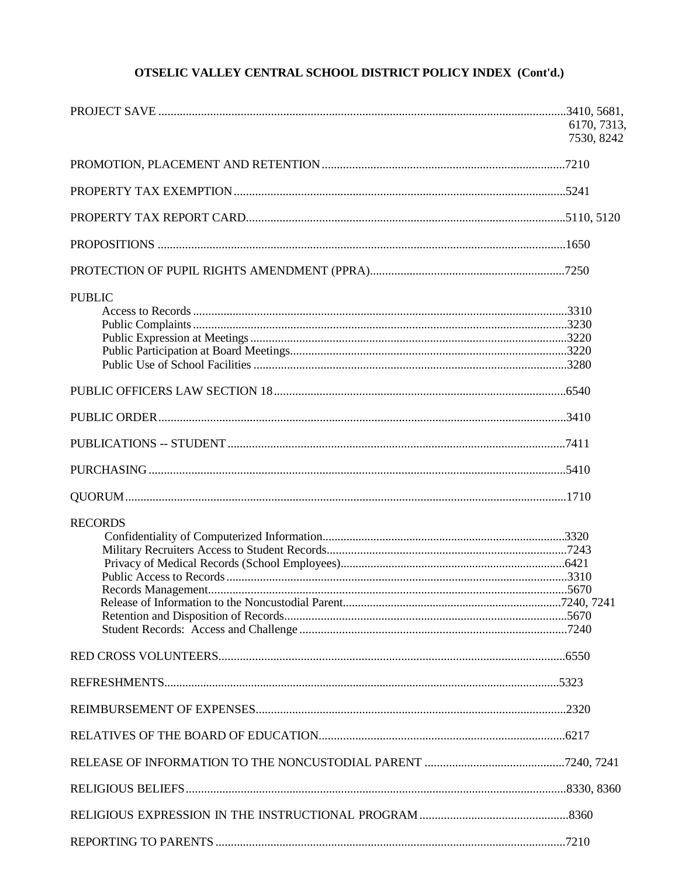|                | 6170, 7313,<br>7530, 8242 |
|----------------|---------------------------|
|                |                           |
|                |                           |
|                |                           |
|                |                           |
|                |                           |
| <b>PUBLIC</b>  |                           |
|                |                           |
|                |                           |
|                |                           |
|                |                           |
|                |                           |
| <b>RECORDS</b> |                           |
|                |                           |
|                |                           |
|                |                           |
|                |                           |
|                |                           |
|                |                           |
|                |                           |
|                |                           |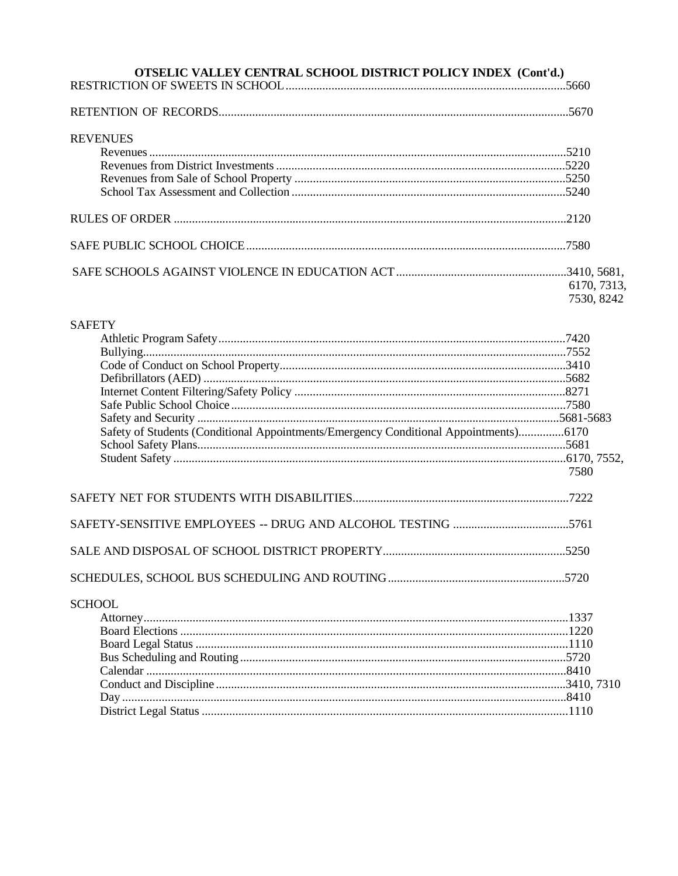# **OTSELIC VALLEY CENTRAL SCHOOL DISTRICT POLICY INDEX (Cont'd.) REVENUES** 6170, 7313, 7530, 8242 **SAFETY** Safety of Students (Conditional Appointments/Emergency Conditional Appointments).................6170 7580

# 

| <b>SCHOOL</b> |  |
|---------------|--|
|               |  |
|               |  |
|               |  |
|               |  |
|               |  |
|               |  |
|               |  |
|               |  |
|               |  |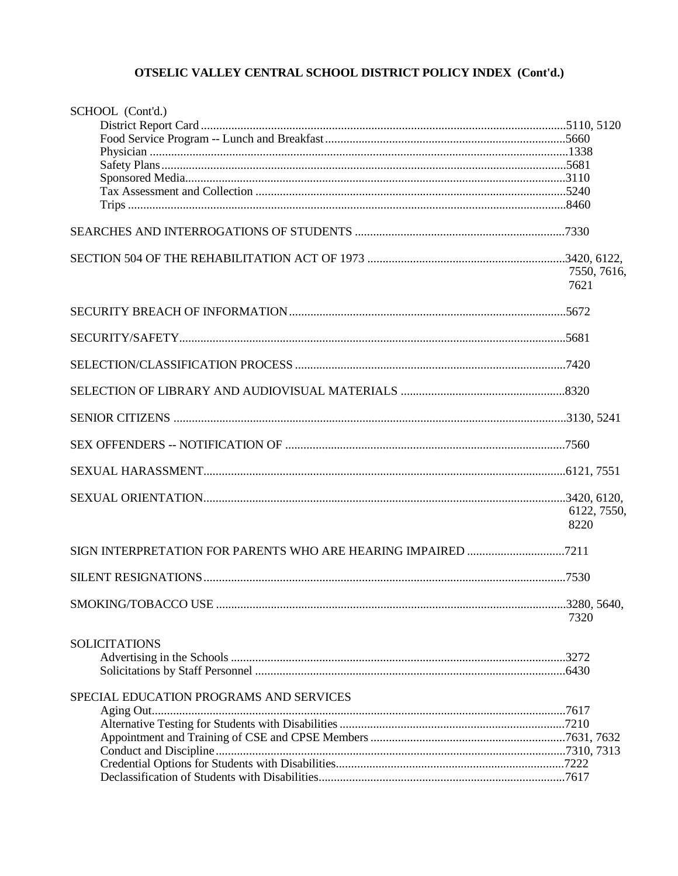| SCHOOL (Cont'd.)                        |             |
|-----------------------------------------|-------------|
|                                         |             |
|                                         |             |
|                                         |             |
|                                         |             |
|                                         |             |
|                                         |             |
|                                         |             |
|                                         |             |
|                                         |             |
|                                         | 7550, 7616, |
|                                         | 7621        |
|                                         |             |
|                                         |             |
|                                         |             |
|                                         |             |
|                                         |             |
|                                         |             |
|                                         |             |
|                                         |             |
|                                         | 6122, 7550, |
|                                         | 8220        |
|                                         |             |
|                                         |             |
|                                         |             |
|                                         | 7320        |
| <b>SOLICITATIONS</b>                    |             |
|                                         |             |
|                                         |             |
|                                         |             |
| SPECIAL EDUCATION PROGRAMS AND SERVICES |             |
|                                         |             |
|                                         |             |
|                                         |             |
|                                         |             |
|                                         |             |
|                                         |             |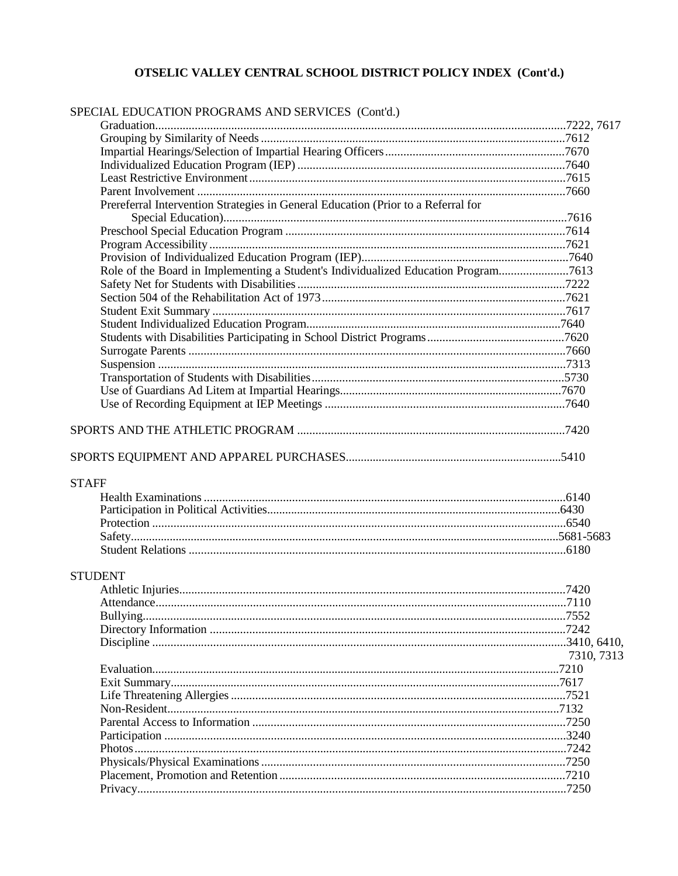| SPECIAL EDUCATION PROGRAMS AND SERVICES (Cont'd.)                                  |            |
|------------------------------------------------------------------------------------|------------|
|                                                                                    |            |
|                                                                                    |            |
|                                                                                    |            |
|                                                                                    |            |
|                                                                                    |            |
|                                                                                    |            |
| Prereferral Intervention Strategies in General Education (Prior to a Referral for  |            |
|                                                                                    |            |
|                                                                                    |            |
|                                                                                    |            |
|                                                                                    |            |
| Role of the Board in Implementing a Student's Individualized Education Program7613 |            |
|                                                                                    |            |
|                                                                                    |            |
|                                                                                    |            |
|                                                                                    |            |
|                                                                                    |            |
|                                                                                    |            |
|                                                                                    |            |
|                                                                                    |            |
|                                                                                    |            |
|                                                                                    |            |
|                                                                                    |            |
|                                                                                    |            |
| <b>STAFF</b>                                                                       |            |
|                                                                                    |            |
|                                                                                    |            |
|                                                                                    |            |
|                                                                                    |            |
|                                                                                    |            |
| <b>STUDENT</b>                                                                     |            |
|                                                                                    |            |
|                                                                                    |            |
|                                                                                    |            |
|                                                                                    |            |
|                                                                                    |            |
|                                                                                    |            |
|                                                                                    | 7310, 7313 |
|                                                                                    |            |
|                                                                                    |            |
|                                                                                    |            |
|                                                                                    |            |
|                                                                                    |            |
|                                                                                    |            |
|                                                                                    |            |
|                                                                                    |            |
|                                                                                    |            |
|                                                                                    |            |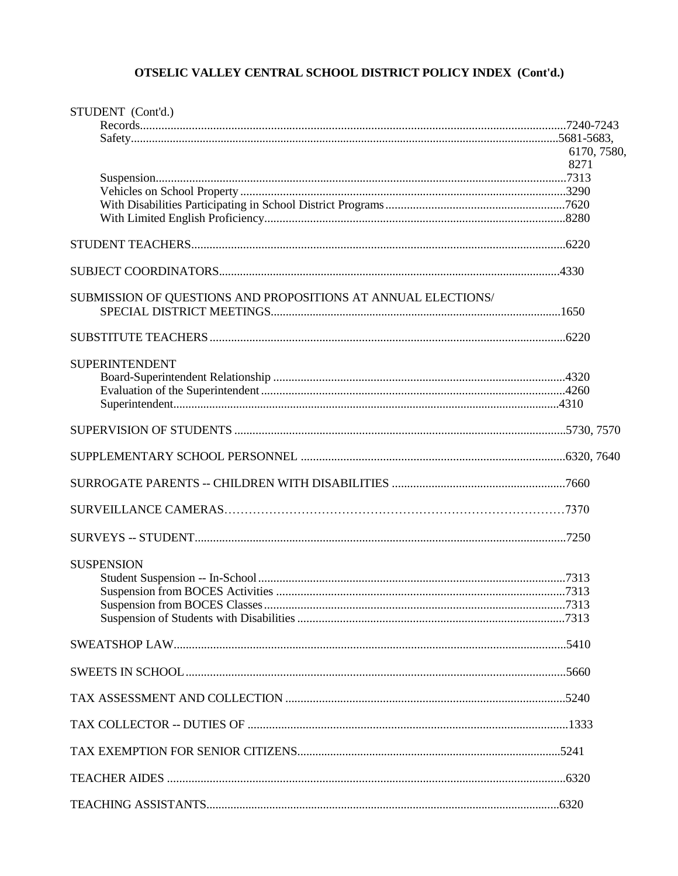| STUDENT (Cont'd.)                                             |             |
|---------------------------------------------------------------|-------------|
|                                                               |             |
|                                                               |             |
|                                                               | 6170, 7580, |
|                                                               | 8271        |
|                                                               |             |
|                                                               |             |
|                                                               |             |
|                                                               |             |
|                                                               |             |
|                                                               |             |
| SUBMISSION OF QUESTIONS AND PROPOSITIONS AT ANNUAL ELECTIONS/ |             |
|                                                               |             |
|                                                               |             |
|                                                               |             |
| <b>SUPERINTENDENT</b>                                         |             |
|                                                               |             |
|                                                               |             |
|                                                               |             |
|                                                               |             |
|                                                               |             |
|                                                               |             |
|                                                               |             |
|                                                               |             |
|                                                               |             |
| <b>SUSPENSION</b>                                             |             |
|                                                               |             |
|                                                               |             |
|                                                               |             |
|                                                               |             |
|                                                               |             |
|                                                               |             |
|                                                               |             |
|                                                               |             |
|                                                               |             |
|                                                               |             |
|                                                               |             |
|                                                               |             |
|                                                               |             |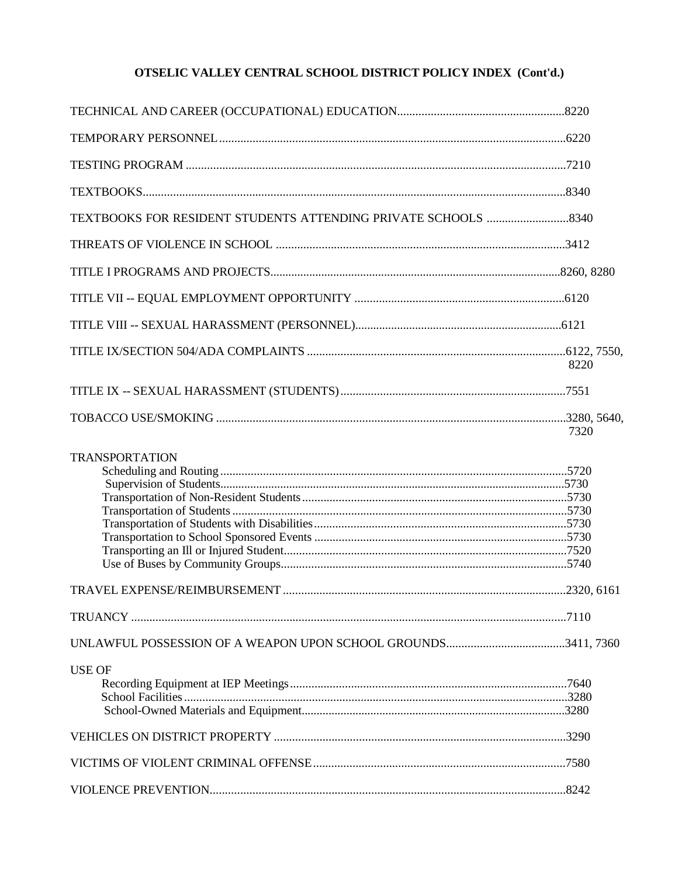|                       | 8220 |
|-----------------------|------|
|                       |      |
|                       | 7320 |
| <b>TRANSPORTATION</b> |      |
|                       |      |
|                       |      |
|                       |      |
| <b>USE OF</b>         |      |
|                       |      |
|                       |      |
|                       |      |